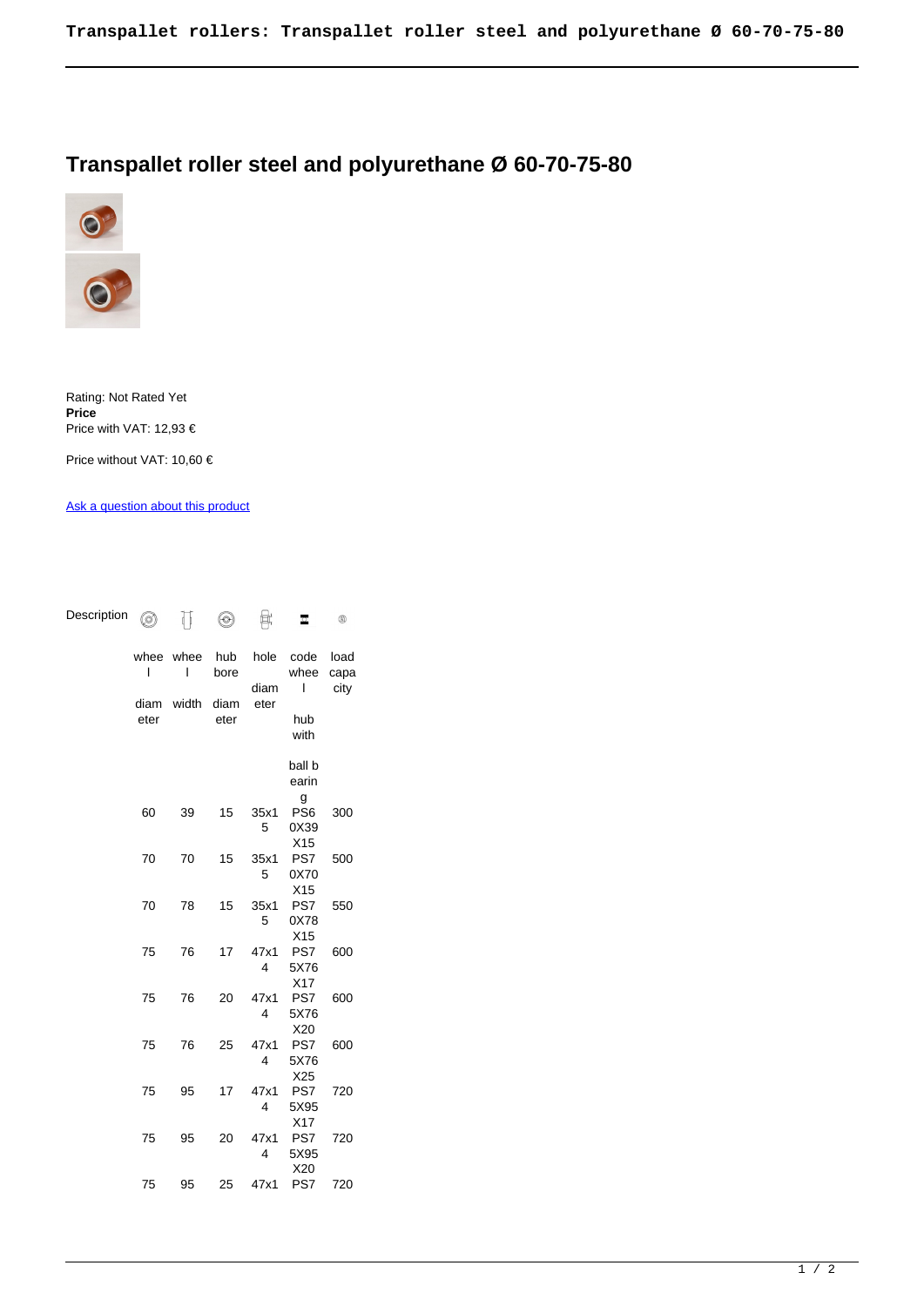## **Transpallet roller steel and polyurethane Ø 60-70-75-80**

 $\begin{picture}(20,20) \put(0,0){\line(1,0){10}} \put(15,0){\line(1,0){10}} \put(15,0){\line(1,0){10}} \put(15,0){\line(1,0){10}} \put(15,0){\line(1,0){10}} \put(15,0){\line(1,0){10}} \put(15,0){\line(1,0){10}} \put(15,0){\line(1,0){10}} \put(15,0){\line(1,0){10}} \put(15,0){\line(1,0){10}} \put(15,0){\line(1,0){10}} \put(15,0){\line(1$ 



Rating: Not Rated Yet **Price**  Price with VAT: 12,93 €

Price without VAT: 10,60 €

[Ask a question about this product](https://www.ruote-online.it/index.php?option=com_virtuemart&view=productdetails&task=askquestion&virtuemart_product_id=574&virtuemart_category_id=34&tmpl=component)

Description <sub>o</sub> 币  $\circledcirc$  of

| whee<br>ı<br>diam<br>eter | whee<br>ı<br>width | hub<br>bore<br>diam<br>eter | hole<br>diam<br>eter | code<br>whee<br>ı<br>hub<br>with    | load<br>capa<br>city |  |
|---------------------------|--------------------|-----------------------------|----------------------|-------------------------------------|----------------------|--|
|                           |                    |                             |                      | ball b<br>earin                     |                      |  |
| 60                        | 39                 | 15                          | 35x1<br>5            | g<br>PS6<br>0X39<br>X <sub>15</sub> | 300                  |  |
| 70                        | 70                 | 15                          | 35x1<br>5            | PS7<br>0X70<br>X <sub>15</sub>      | 500                  |  |
| 70                        | 78                 | 15                          | 35x1<br>5            | PS7<br>0X78                         | 550                  |  |
| 75                        | 76                 | 17                          | 47x1<br>4            | X15<br>PS7<br>5X76                  | 600                  |  |
| 75                        | 76                 | 20                          | 47x1<br>4            | X17<br>PS7<br>5X76                  | 600                  |  |
| 75                        | 76                 | 25                          | 47x1<br>4            | X20<br>PS7<br>5X76                  | 600                  |  |
| 75                        | 95                 | 17                          | 47x1<br>4            | X25<br>PS7<br>5X95                  | 720                  |  |
| 75                        | 95                 | 20                          | 47x1<br>4            | X17<br>PS7<br>5X95                  | 720                  |  |
| 75                        | 95                 | 25                          | 47x1                 | X20<br>PS7                          | 720                  |  |